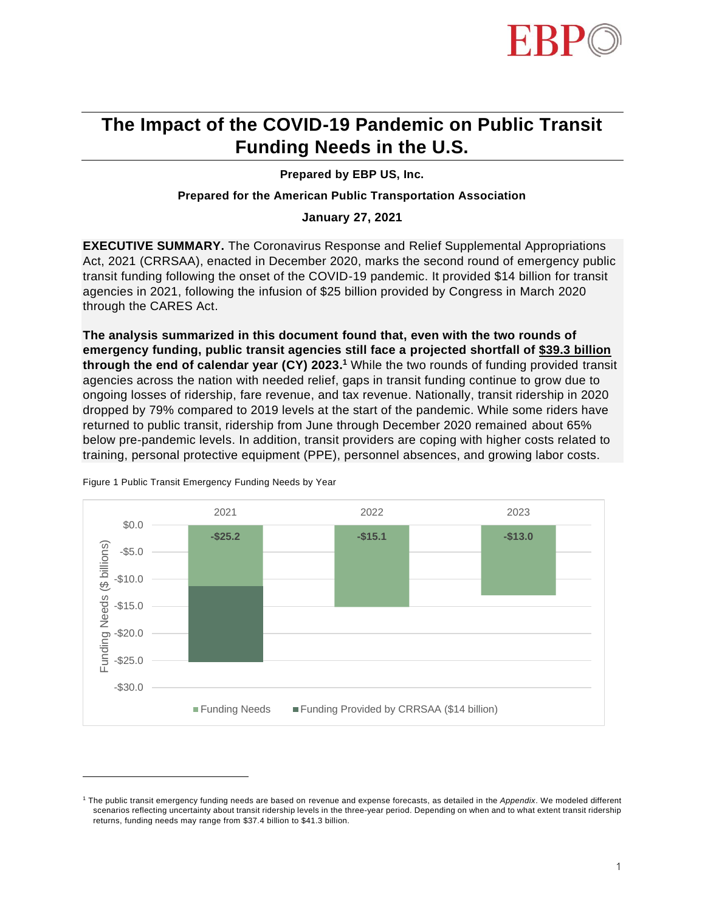

# **The Impact of the COVID-19 Pandemic on Public Transit Funding Needs in the U.S.**

**Prepared by EBP US, Inc.**

## **Prepared for the American Public Transportation Association**

**January 27, 2021**

**EXECUTIVE SUMMARY.** The Coronavirus Response and Relief Supplemental Appropriations Act, 2021 (CRRSAA), enacted in December 2020, marks the second round of emergency public transit funding following the onset of the COVID-19 pandemic. It provided \$14 billion for transit agencies in 2021, following the infusion of \$25 billion provided by Congress in March 2020 through the CARES Act.

**The analysis summarized in this document found that, even with the two rounds of emergency funding, public transit agencies still face a projected shortfall of \$39.3 billion through the end of calendar year (CY) 2023. <sup>1</sup>** While the two rounds of funding provided transit agencies across the nation with needed relief, gaps in transit funding continue to grow due to ongoing losses of ridership, fare revenue, and tax revenue. Nationally, transit ridership in 2020 dropped by 79% compared to 2019 levels at the start of the pandemic. While some riders have returned to public transit, ridership from June through December 2020 remained about 65% below pre-pandemic levels. In addition, transit providers are coping with higher costs related to training, personal protective equipment (PPE), personnel absences, and growing labor costs.



Figure 1 Public Transit Emergency Funding Needs by Year

<sup>1</sup> The public transit emergency funding needs are based on revenue and expense forecasts, as detailed in the *Appendix*. We modeled different scenarios reflecting uncertainty about transit ridership levels in the three-year period. Depending on when and to what extent transit ridership returns, funding needs may range from \$37.4 billion to \$41.3 billion.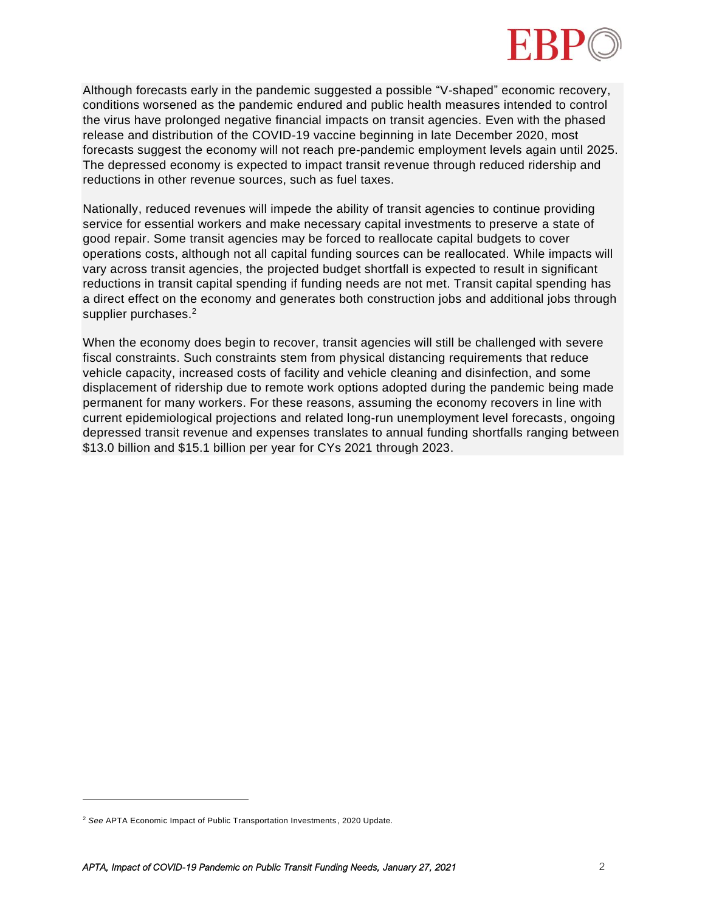

Although forecasts early in the pandemic suggested a possible "V-shaped" economic recovery, conditions worsened as the pandemic endured and public health measures intended to control the virus have prolonged negative financial impacts on transit agencies. Even with the phased release and distribution of the COVID-19 vaccine beginning in late December 2020, most forecasts suggest the economy will not reach pre-pandemic employment levels again until 2025. The depressed economy is expected to impact transit revenue through reduced ridership and reductions in other revenue sources, such as fuel taxes.

Nationally, reduced revenues will impede the ability of transit agencies to continue providing service for essential workers and make necessary capital investments to preserve a state of good repair. Some transit agencies may be forced to reallocate capital budgets to cover operations costs, although not all capital funding sources can be reallocated. While impacts will vary across transit agencies, the projected budget shortfall is expected to result in significant reductions in transit capital spending if funding needs are not met. Transit capital spending has a direct effect on the economy and generates both construction jobs and additional jobs through supplier purchases.<sup>2</sup>

When the economy does begin to recover, transit agencies will still be challenged with severe fiscal constraints. Such constraints stem from physical distancing requirements that reduce vehicle capacity, increased costs of facility and vehicle cleaning and disinfection, and some displacement of ridership due to remote work options adopted during the pandemic being made permanent for many workers. For these reasons, assuming the economy recovers in line with current epidemiological projections and related long-run unemployment level forecasts, ongoing depressed transit revenue and expenses translates to annual funding shortfalls ranging between \$13.0 billion and \$15.1 billion per year for CYs 2021 through 2023.

<sup>2</sup> *See* APTA Economic Impact of Public Transportation Investments, 2020 Update.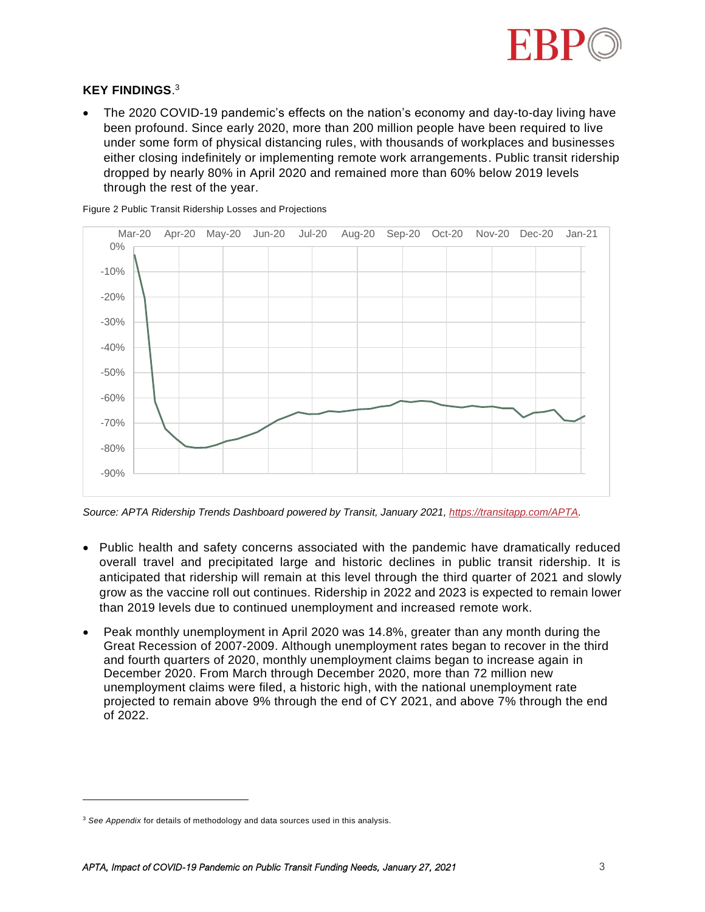

## **KEY FINDINGS**. 3

• The 2020 COVID-19 pandemic's effects on the nation's economy and day-to-day living have been profound. Since early 2020, more than 200 million people have been required to live under some form of physical distancing rules, with thousands of workplaces and businesses either closing indefinitely or implementing remote work arrangements. Public transit ridership dropped by nearly 80% in April 2020 and remained more than 60% below 2019 levels through the rest of the year.

-90% -80% -70% -60% -50% -40% -30% -20% -10% 0% Mar-20 Apr-20 May-20 Jun-20 Jul-20 Aug-20 Sep-20 Oct-20 Nov-20 Dec-20 Jan-21

Figure 2 Public Transit Ridership Losses and Projections

*Source: APTA Ridership Trends Dashboard powered by Transit, January 2021, [https://transitapp.com/APTA.](https://transitapp.com/APTA)*

- Public health and safety concerns associated with the pandemic have dramatically reduced overall travel and precipitated large and historic declines in public transit ridership. It is anticipated that ridership will remain at this level through the third quarter of 2021 and slowly grow as the vaccine roll out continues. Ridership in 2022 and 2023 is expected to remain lower than 2019 levels due to continued unemployment and increased remote work.
- Peak monthly unemployment in April 2020 was 14.8%, greater than any month during the Great Recession of 2007-2009. Although unemployment rates began to recover in the third and fourth quarters of 2020, monthly unemployment claims began to increase again in December 2020. From March through December 2020, more than 72 million new unemployment claims were filed, a historic high, with the national unemployment rate projected to remain above 9% through the end of CY 2021, and above 7% through the end of 2022.

<sup>3</sup> *See Appendix* for details of methodology and data sources used in this analysis.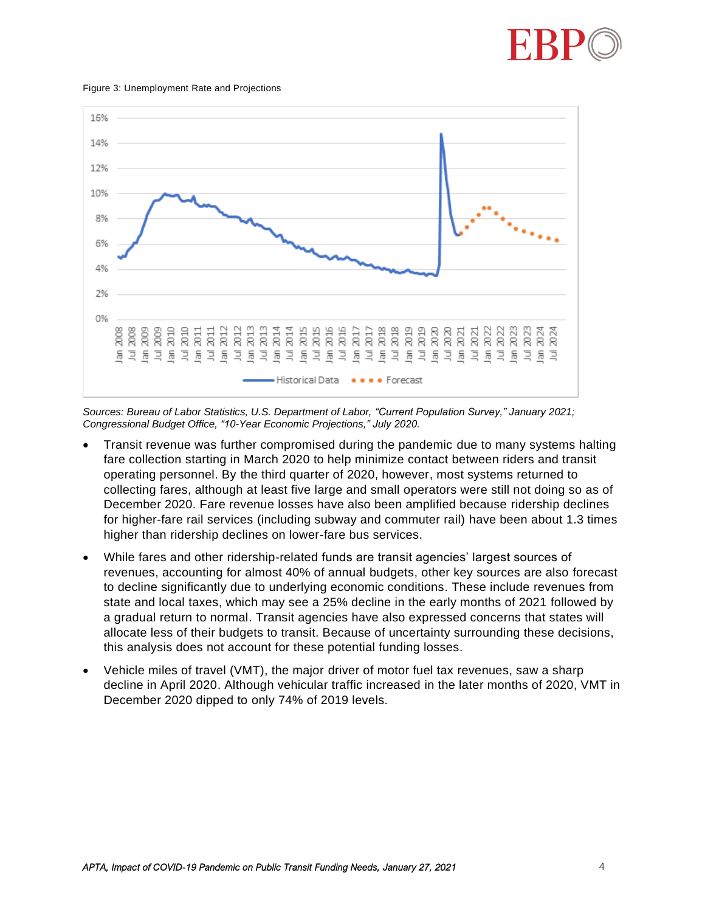

#### Figure 3: Unemployment Rate and Projections



*Sources: Bureau of Labor Statistics, U.S. Department of Labor, "Current Population Survey," January 2021; Congressional Budget Office, "10-Year Economic Projections," July 2020.*

- Transit revenue was further compromised during the pandemic due to many systems halting fare collection starting in March 2020 to help minimize contact between riders and transit operating personnel. By the third quarter of 2020, however, most systems returned to collecting fares, although at least five large and small operators were still not doing so as of December 2020. Fare revenue losses have also been amplified because ridership declines for higher-fare rail services (including subway and commuter rail) have been about 1.3 times higher than ridership declines on lower-fare bus services.
- While fares and other ridership-related funds are transit agencies' largest sources of revenues, accounting for almost 40% of annual budgets, other key sources are also forecast to decline significantly due to underlying economic conditions. These include revenues from state and local taxes, which may see a 25% decline in the early months of 2021 followed by a gradual return to normal. Transit agencies have also expressed concerns that states will allocate less of their budgets to transit. Because of uncertainty surrounding these decisions, this analysis does not account for these potential funding losses.
- Vehicle miles of travel (VMT), the major driver of motor fuel tax revenues, saw a sharp decline in April 2020. Although vehicular traffic increased in the later months of 2020, VMT in December 2020 dipped to only 74% of 2019 levels.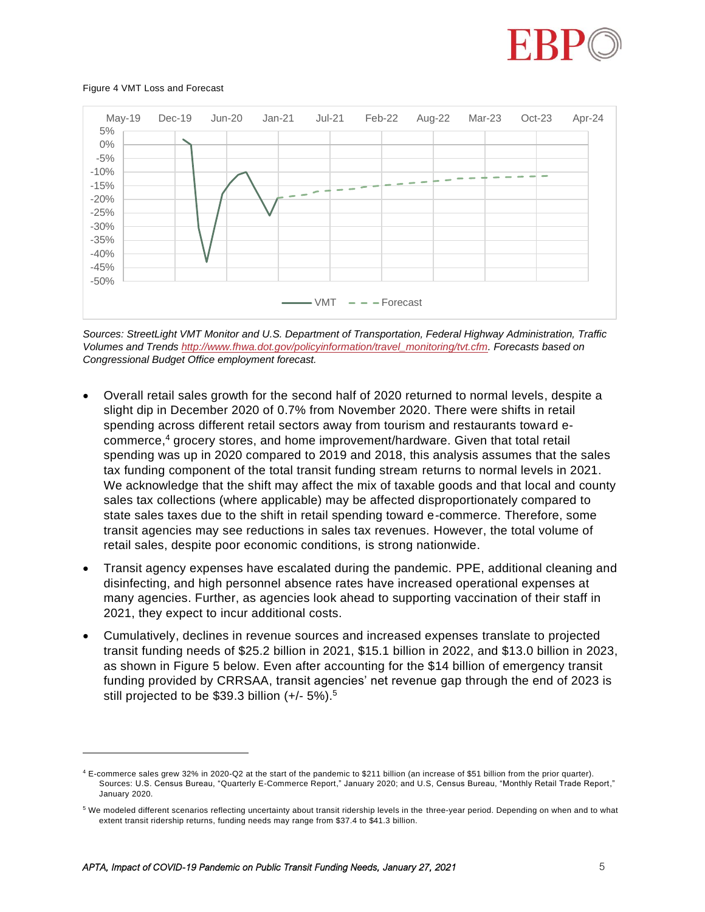

### Figure 4 VMT Loss and Forecast



*Sources: StreetLight VMT Monitor and U.S. Department of Transportation, Federal Highway Administration, Traffic Volumes and Trend[s http://www.fhwa.dot.gov/policyinformation/travel\\_monitoring/tvt.cfm.](http://www.fhwa.dot.gov/policyinformation/travel_monitoring/tvt.cfm) Forecasts based on Congressional Budget Office employment forecast.*

- Overall retail sales growth for the second half of 2020 returned to normal levels, despite a slight dip in December 2020 of 0.7% from November 2020. There were shifts in retail spending across different retail sectors away from tourism and restaurants toward ecommerce, <sup>4</sup> grocery stores, and home improvement/hardware. Given that total retail spending was up in 2020 compared to 2019 and 2018, this analysis assumes that the sales tax funding component of the total transit funding stream returns to normal levels in 2021. We acknowledge that the shift may affect the mix of taxable goods and that local and county sales tax collections (where applicable) may be affected disproportionately compared to state sales taxes due to the shift in retail spending toward e-commerce. Therefore, some transit agencies may see reductions in sales tax revenues. However, the total volume of retail sales, despite poor economic conditions, is strong nationwide.
- Transit agency expenses have escalated during the pandemic. PPE, additional cleaning and disinfecting, and high personnel absence rates have increased operational expenses at many agencies. Further, as agencies look ahead to supporting vaccination of their staff in 2021, they expect to incur additional costs.
- Cumulatively, declines in revenue sources and increased expenses translate to projected transit funding needs of \$25.2 billion in 2021, \$15.1 billion in 2022, and \$13.0 billion in 2023, as shown in [Figure 5](#page-5-0) below. Even after accounting for the \$14 billion of emergency transit funding provided by CRRSAA, transit agencies' net revenue gap through the end of 2023 is still projected to be \$39.3 billion (+/- 5%). 5

<sup>4</sup> E-commerce sales grew 32% in 2020-Q2 at the start of the pandemic to \$211 billion (an increase of \$51 billion from the prior quarter). Sources: U.S. Census Bureau, "Quarterly E-Commerce Report," January 2020; and U.S, Census Bureau, "Monthly Retail Trade Report," January 2020.

<sup>5</sup> We modeled different scenarios reflecting uncertainty about transit ridership levels in the three-year period. Depending on when and to what extent transit ridership returns, funding needs may range from \$37.4 to \$41.3 billion.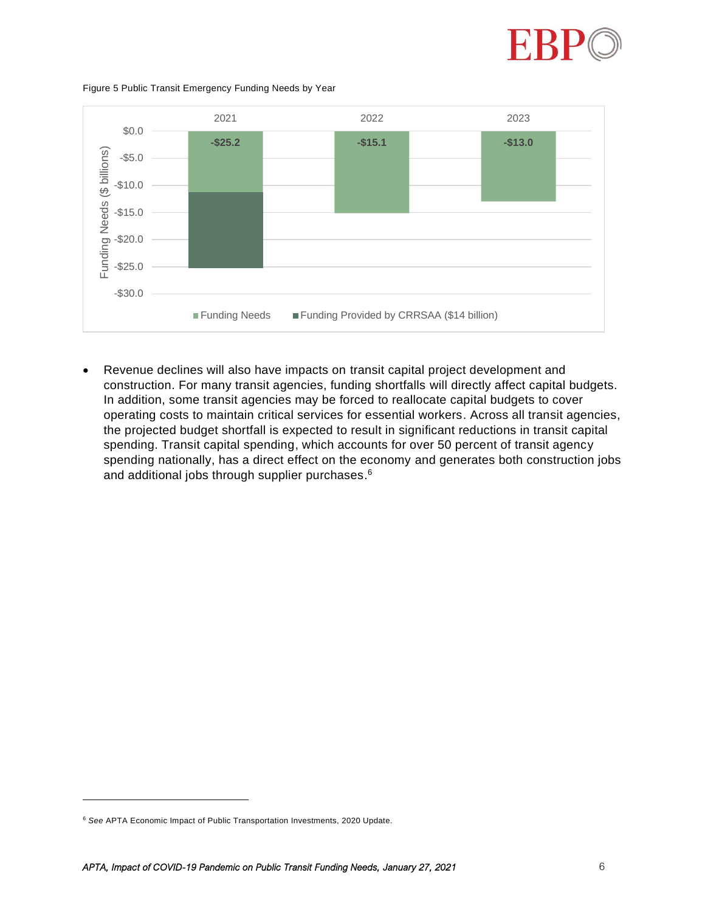

### <span id="page-5-0"></span>Figure 5 Public Transit Emergency Funding Needs by Year



• Revenue declines will also have impacts on transit capital project development and construction. For many transit agencies, funding shortfalls will directly affect capital budgets. In addition, some transit agencies may be forced to reallocate capital budgets to cover operating costs to maintain critical services for essential workers. Across all transit agencies, the projected budget shortfall is expected to result in significant reductions in transit capital spending. Transit capital spending, which accounts for over 50 percent of transit agency spending nationally, has a direct effect on the economy and generates both construction jobs and additional jobs through supplier purchases. $^6$ 

<sup>6</sup> *See* APTA Economic Impact of Public Transportation Investments, 2020 Update.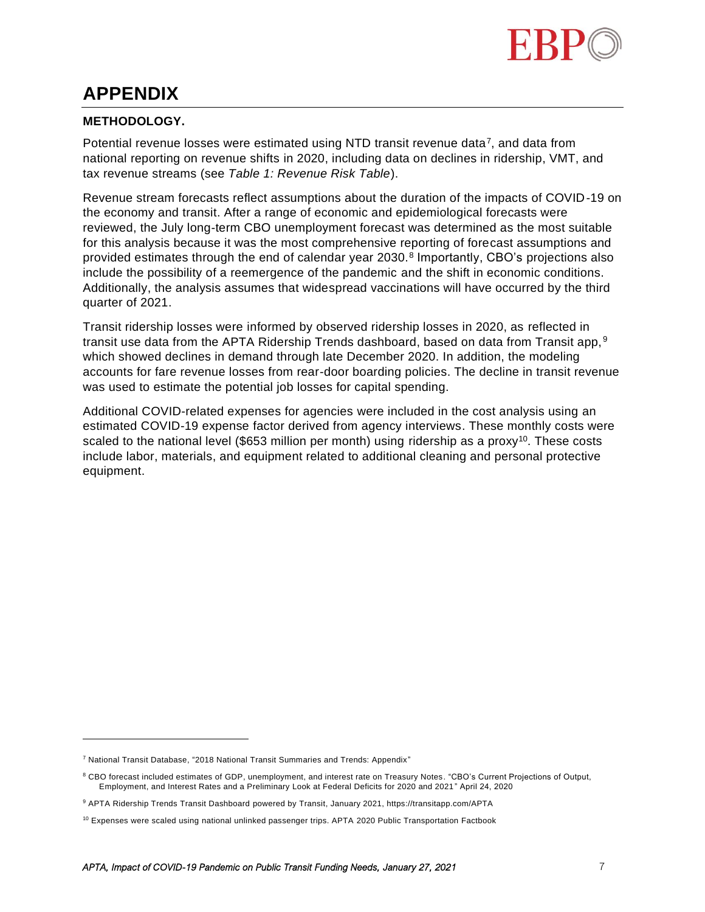

# **APPENDIX**

# **METHODOLOGY.**

Potential revenue losses were estimated using NTD transit revenue data<sup>7</sup>, and data from national reporting on revenue shifts in 2020, including data on declines in ridership, VMT, and tax revenue streams (see *Table 1: Revenue Risk Table*).

Revenue stream forecasts reflect assumptions about the duration of the impacts of COVID-19 on the economy and transit. After a range of economic and epidemiological forecasts were reviewed, the July long-term CBO unemployment forecast was determined as the most suitable for this analysis because it was the most comprehensive reporting of forecast assumptions and provided estimates through the end of calendar year 2030.<sup>8</sup> Importantly, CBO's projections also include the possibility of a reemergence of the pandemic and the shift in economic conditions. Additionally, the analysis assumes that widespread vaccinations will have occurred by the third quarter of 2021.

Transit ridership losses were informed by observed ridership losses in 2020, as reflected in transit use data from the APTA Ridership Trends dashboard, based on data from Transit app,  $9$ which showed declines in demand through late December 2020. In addition, the modeling accounts for fare revenue losses from rear-door boarding policies. The decline in transit revenue was used to estimate the potential job losses for capital spending.

Additional COVID-related expenses for agencies were included in the cost analysis using an estimated COVID-19 expense factor derived from agency interviews. These monthly costs were scaled to the national level (\$653 million per month) using ridership as a proxy<sup>10</sup>. These costs include labor, materials, and equipment related to additional cleaning and personal protective equipment.

<sup>7</sup> National Transit Database, "2018 National Transit Summaries and Trends: Appendix"

<sup>&</sup>lt;sup>8</sup> CBO forecast included estimates of GDP, unemployment, and interest rate on Treasury Notes. "CBO's Current Projections of Output, Employment, and Interest Rates and a Preliminary Look at Federal Deficits for 2020 and 2021 " April 24, 2020

<sup>9</sup> APTA Ridership Trends Transit Dashboard powered by Transit, January 2021, https://transitapp.com/APTA

 $10$  Expenses were scaled using national unlinked passenger trips. APTA 2020 Public Transportation Factbook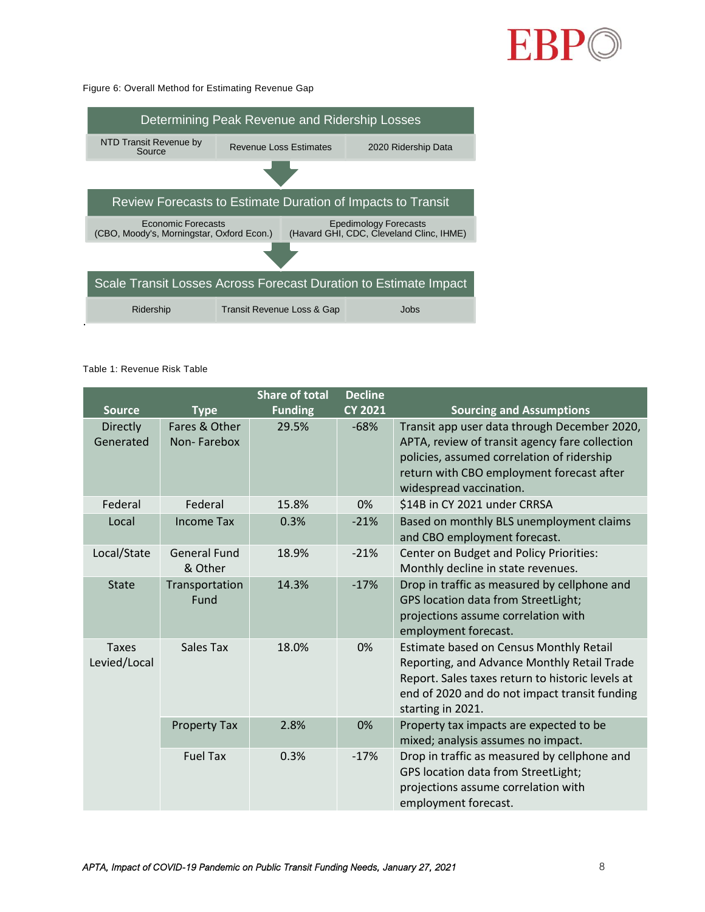

### Figure 6: Overall Method for Estimating Revenue Gap

| Determining Peak Revenue and Ridership Losses                    |                                    |                                                                          |  |  |  |  |
|------------------------------------------------------------------|------------------------------------|--------------------------------------------------------------------------|--|--|--|--|
| NTD Transit Revenue by<br>Source                                 | <b>Revenue Loss Estimates</b>      | 2020 Ridership Data                                                      |  |  |  |  |
|                                                                  |                                    |                                                                          |  |  |  |  |
| Review Forecasts to Estimate Duration of Impacts to Transit      |                                    |                                                                          |  |  |  |  |
| Economic Forecasts<br>(CBO, Moody's, Morningstar, Oxford Econ.)  |                                    | <b>Epedimology Forecasts</b><br>(Havard GHI, CDC, Cleveland Clinc, IHME) |  |  |  |  |
|                                                                  |                                    |                                                                          |  |  |  |  |
| Scale Transit Losses Across Forecast Duration to Estimate Impact |                                    |                                                                          |  |  |  |  |
| Ridership                                                        | Jobs<br>Transit Revenue Loss & Gap |                                                                          |  |  |  |  |

## Table 1: Revenue Risk Table

|                              |                                | <b>Share of total</b> | <b>Decline</b> |                                                                                                                                                                                                                      |
|------------------------------|--------------------------------|-----------------------|----------------|----------------------------------------------------------------------------------------------------------------------------------------------------------------------------------------------------------------------|
| <b>Source</b>                | <b>Type</b>                    | <b>Funding</b>        | <b>CY 2021</b> | <b>Sourcing and Assumptions</b>                                                                                                                                                                                      |
| Directly<br>Generated        | Fares & Other<br>Non-Farebox   | 29.5%                 | $-68%$         | Transit app user data through December 2020,<br>APTA, review of transit agency fare collection<br>policies, assumed correlation of ridership<br>return with CBO employment forecast after<br>widespread vaccination. |
| Federal                      | Federal                        | 15.8%                 | 0%             | \$14B in CY 2021 under CRRSA                                                                                                                                                                                         |
| Local                        | <b>Income Tax</b>              | 0.3%                  | $-21%$         | Based on monthly BLS unemployment claims<br>and CBO employment forecast.                                                                                                                                             |
| Local/State                  | <b>General Fund</b><br>& Other | 18.9%                 | $-21%$         | Center on Budget and Policy Priorities:<br>Monthly decline in state revenues.                                                                                                                                        |
| <b>State</b>                 | Transportation<br>Fund         | 14.3%                 | $-17%$         | Drop in traffic as measured by cellphone and<br>GPS location data from StreetLight;<br>projections assume correlation with<br>employment forecast.                                                                   |
| <b>Taxes</b><br>Levied/Local | Sales Tax                      | 18.0%                 | 0%             | Estimate based on Census Monthly Retail<br>Reporting, and Advance Monthly Retail Trade<br>Report. Sales taxes return to historic levels at<br>end of 2020 and do not impact transit funding<br>starting in 2021.     |
|                              | <b>Property Tax</b>            | 2.8%                  | 0%             | Property tax impacts are expected to be<br>mixed; analysis assumes no impact.                                                                                                                                        |
|                              | <b>Fuel Tax</b>                | 0.3%                  | $-17%$         | Drop in traffic as measured by cellphone and<br>GPS location data from StreetLight;<br>projections assume correlation with<br>employment forecast.                                                                   |